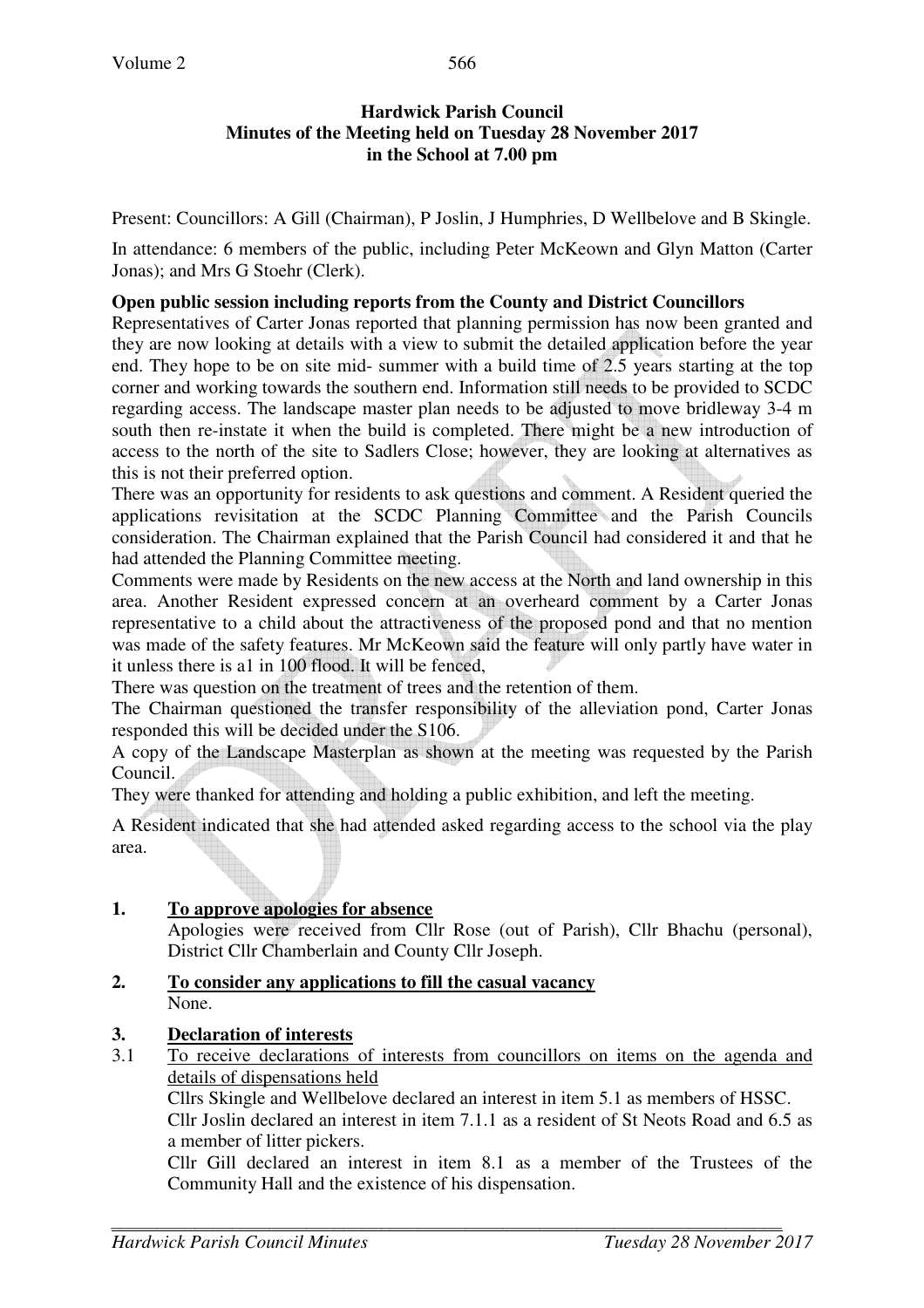# **Hardwick Parish Council Minutes of the Meeting held on Tuesday 28 November 2017 in the School at 7.00 pm**

Present: Councillors: A Gill (Chairman), P Joslin, J Humphries, D Wellbelove and B Skingle.

In attendance: 6 members of the public, including Peter McKeown and Glyn Matton (Carter Jonas); and Mrs G Stoehr (Clerk).

## **Open public session including reports from the County and District Councillors**

Representatives of Carter Jonas reported that planning permission has now been granted and they are now looking at details with a view to submit the detailed application before the year end. They hope to be on site mid- summer with a build time of 2.5 years starting at the top corner and working towards the southern end. Information still needs to be provided to SCDC regarding access. The landscape master plan needs to be adjusted to move bridleway 3-4 m south then re-instate it when the build is completed. There might be a new introduction of access to the north of the site to Sadlers Close; however, they are looking at alternatives as this is not their preferred option.

There was an opportunity for residents to ask questions and comment. A Resident queried the applications revisitation at the SCDC Planning Committee and the Parish Councils consideration. The Chairman explained that the Parish Council had considered it and that he had attended the Planning Committee meeting.

Comments were made by Residents on the new access at the North and land ownership in this area. Another Resident expressed concern at an overheard comment by a Carter Jonas representative to a child about the attractiveness of the proposed pond and that no mention was made of the safety features. Mr McKeown said the feature will only partly have water in it unless there is a1 in 100 flood. It will be fenced,

There was question on the treatment of trees and the retention of them.

The Chairman questioned the transfer responsibility of the alleviation pond, Carter Jonas responded this will be decided under the S106.

A copy of the Landscape Masterplan as shown at the meeting was requested by the Parish Council.

They were thanked for attending and holding a public exhibition, and left the meeting.

A Resident indicated that she had attended asked regarding access to the school via the play area.

# **1. To approve apologies for absence**

Apologies were received from Cllr Rose (out of Parish), Cllr Bhachu (personal), District Cllr Chamberlain and County Cllr Joseph.

# **2. To consider any applications to fill the casual vacancy** None.

# **3. Declaration of interests**<br>**3.1** To receive declarations

3.1 To receive declarations of interests from councillors on items on the agenda and details of dispensations held

Cllrs Skingle and Wellbelove declared an interest in item 5.1 as members of HSSC.

Cllr Joslin declared an interest in item 7.1.1 as a resident of St Neots Road and 6.5 as a member of litter pickers.

Cllr Gill declared an interest in item 8.1 as a member of the Trustees of the Community Hall and the existence of his dispensation.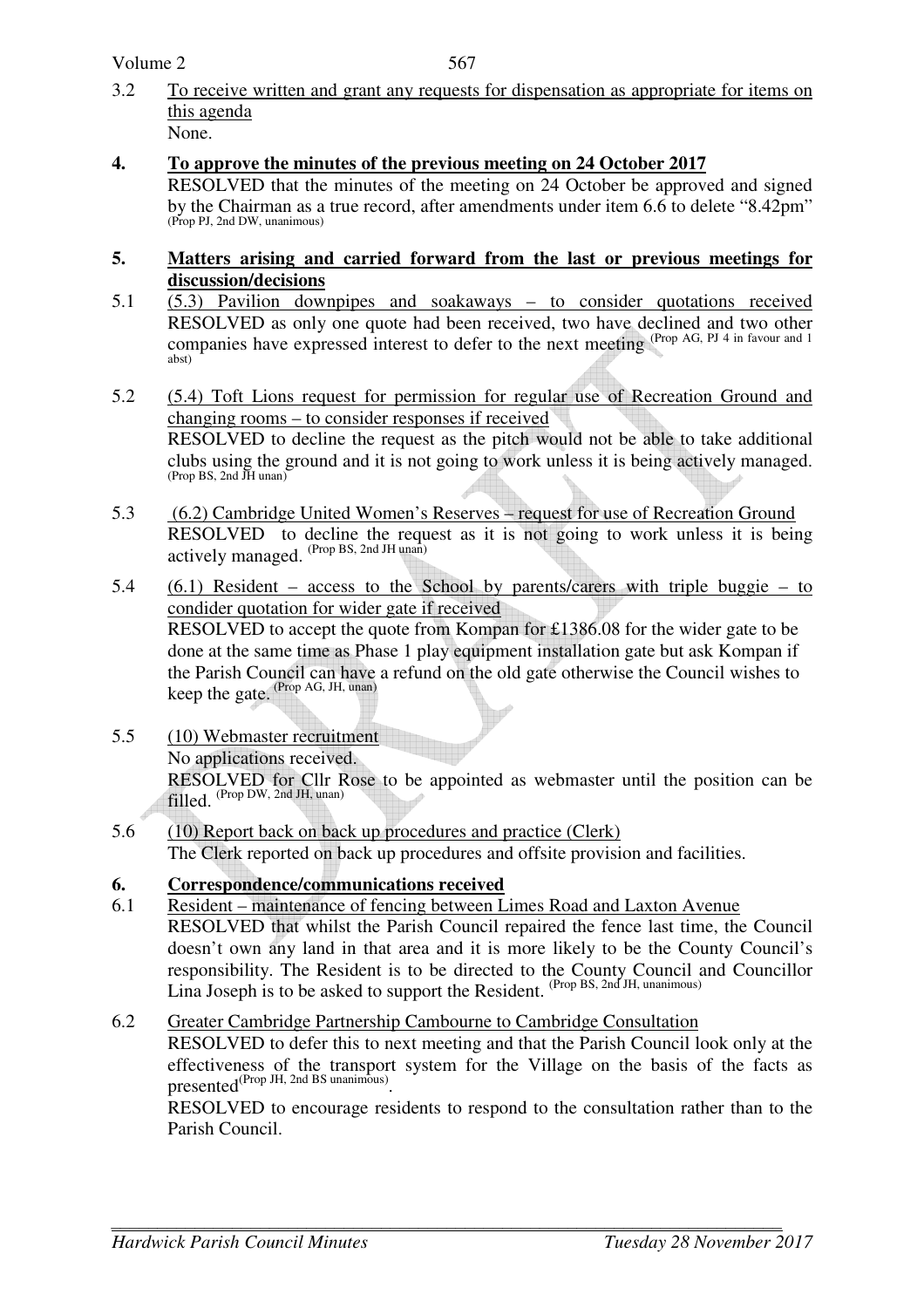Volume 2

- 3.2 To receive written and grant any requests for dispensation as appropriate for items on this agenda None.
- **4. To approve the minutes of the previous meeting on 24 October 2017**  RESOLVED that the minutes of the meeting on 24 October be approved and signed by the Chairman as a true record, after amendments under item 6.6 to delete "8.42pm" (Prop PJ, 2nd DW, unanimous)
- **5. Matters arising and carried forward from the last or previous meetings for discussion/decisions**
- 5.1 (5.3) Pavilion downpipes and soakaways to consider quotations received RESOLVED as only one quote had been received, two have declined and two other companies have expressed interest to defer to the next meeting (Prop AG, PJ 4 in favour and 1 abst)
- 5.2 (5.4) Toft Lions request for permission for regular use of Recreation Ground and changing rooms – to consider responses if received RESOLVED to decline the request as the pitch would not be able to take additional clubs using the ground and it is not going to work unless it is being actively managed. (Prop BS, 2nd JH unan)
- 5.3 (6.2) Cambridge United Women's Reserves request for use of Recreation Ground RESOLVED to decline the request as it is not going to work unless it is being actively managed. (Prop BS, 2nd JH unan)
- 5.4 (6.1) Resident access to the School by parents/carers with triple buggie to condider quotation for wider gate if received RESOLVED to accept the quote from Kompan for £1386.08 for the wider gate to be done at the same time as Phase 1 play equipment installation gate but ask Kompan if the Parish Council can have a refund on the old gate otherwise the Council wishes to keep the gate. (Prop AG, JH, unan)
- 5.5 (10) Webmaster recruitment No applications received. RESOLVED for Cllr Rose to be appointed as webmaster until the position can be filled. (Prop DW, 2nd JH, unan)
- 5.6 (10) Report back on back up procedures and practice (Clerk) The Clerk reported on back up procedures and offsite provision and facilities.

# **6. Correspondence/communications received**

6.1 Resident – maintenance of fencing between Limes Road and Laxton Avenue RESOLVED that whilst the Parish Council repaired the fence last time, the Council doesn't own any land in that area and it is more likely to be the County Council's responsibility. The Resident is to be directed to the County Council and Councillor Lina Joseph is to be asked to support the Resident. (Prop BS, 2nd JH, unanimous)

# 6.2 Greater Cambridge Partnership Cambourne to Cambridge Consultation RESOLVED to defer this to next meeting and that the Parish Council look only at the effectiveness of the transport system for the Village on the basis of the facts as presented<sup>(Prop JH, 2nd BS unanimous)</sup>.

RESOLVED to encourage residents to respond to the consultation rather than to the Parish Council.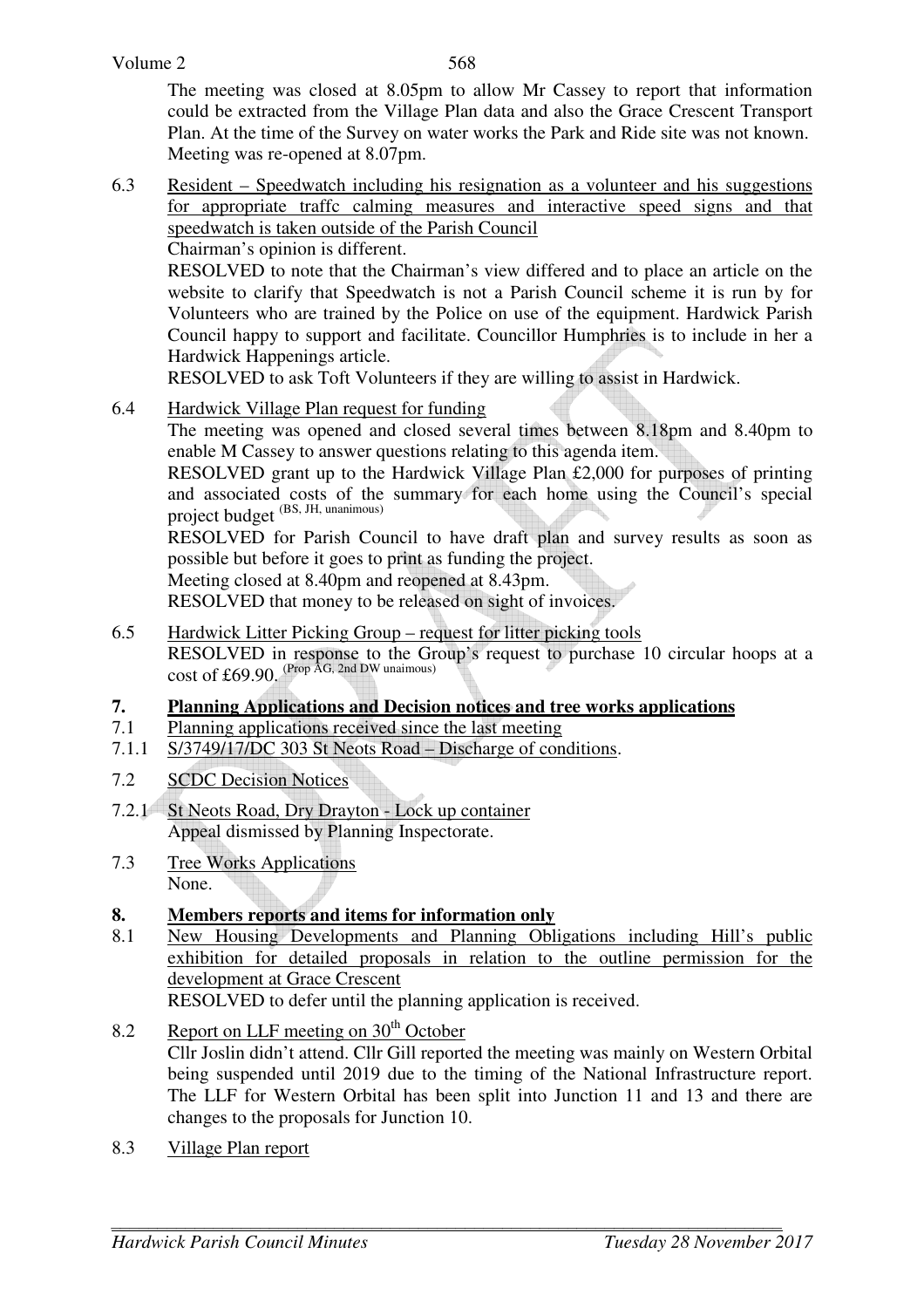The meeting was closed at 8.05pm to allow Mr Cassey to report that information could be extracted from the Village Plan data and also the Grace Crescent Transport Plan. At the time of the Survey on water works the Park and Ride site was not known. Meeting was re-opened at 8.07pm.

6.3 Resident – Speedwatch including his resignation as a volunteer and his suggestions for appropriate traffc calming measures and interactive speed signs and that speedwatch is taken outside of the Parish Council

Chairman's opinion is different.

RESOLVED to note that the Chairman's view differed and to place an article on the website to clarify that Speedwatch is not a Parish Council scheme it is run by for Volunteers who are trained by the Police on use of the equipment. Hardwick Parish Council happy to support and facilitate. Councillor Humphries is to include in her a Hardwick Happenings article.

RESOLVED to ask Toft Volunteers if they are willing to assist in Hardwick.

6.4 Hardwick Village Plan request for funding

The meeting was opened and closed several times between 8.18pm and 8.40pm to enable M Cassey to answer questions relating to this agenda item.

RESOLVED grant up to the Hardwick Village Plan £2,000 for purposes of printing and associated costs of the summary for each home using the Council's special project budget<sup>(BS, JH, unanimous)</sup>

RESOLVED for Parish Council to have draft plan and survey results as soon as possible but before it goes to print as funding the project.

Meeting closed at 8.40pm and reopened at 8.43pm.

RESOLVED that money to be released on sight of invoices.

- 6.5 Hardwick Litter Picking Group request for litter picking tools RESOLVED in response to the Group's request to purchase 10 circular hoops at a cost of £69.90.  $(\text{Prop }AG, 2nd$  DW unaimous)
- **7. Planning Applications and Decision notices and tree works applications**
- 7.1 Planning applications received since the last meeting
- 7.1.1 S/3749/17/DC 303 St Neots Road Discharge of conditions.
- 7.2 SCDC Decision Notices
- 7.2.1 St Neots Road, Dry Drayton Lock up container Appeal dismissed by Planning Inspectorate.
- 7.3 Tree Works Applications None.

# **8. Members reports and items for information only**

8.1 New Housing Developments and Planning Obligations including Hill's public exhibition for detailed proposals in relation to the outline permission for the development at Grace Crescent

RESOLVED to defer until the planning application is received.

- 8.2 Report on LLF meeting on  $30<sup>th</sup>$  October Cllr Joslin didn't attend. Cllr Gill reported the meeting was mainly on Western Orbital being suspended until 2019 due to the timing of the National Infrastructure report. The LLF for Western Orbital has been split into Junction 11 and 13 and there are changes to the proposals for Junction 10.
- 8.3 Village Plan report